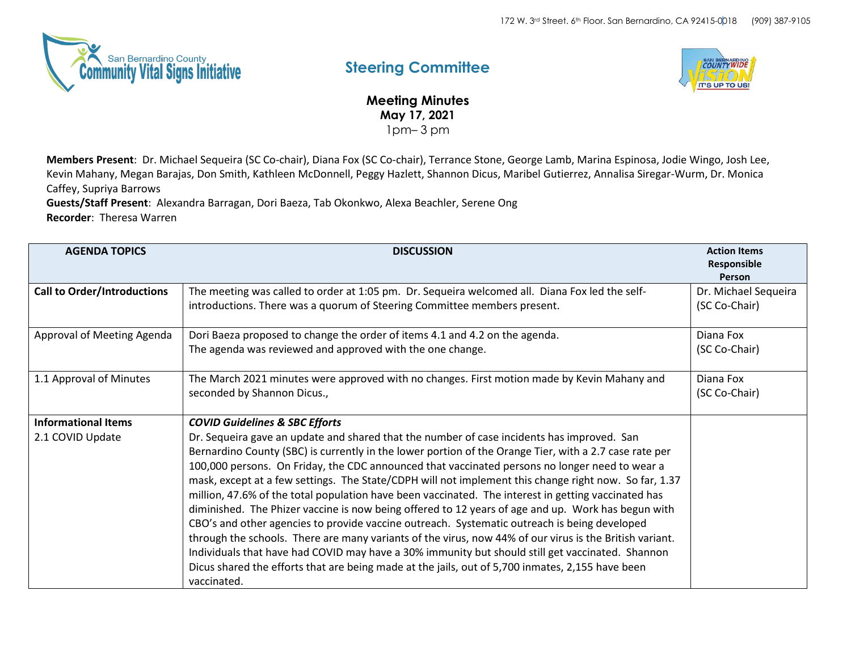

## **Steering Committee**



**Meeting Minutes May 17, 2021**  1pm– 3 pm

**Members Present**: Dr. Michael Sequeira (SC Co-chair), Diana Fox (SC Co-chair), Terrance Stone, George Lamb, Marina Espinosa, Jodie Wingo, Josh Lee, Kevin Mahany, Megan Barajas, Don Smith, Kathleen McDonnell, Peggy Hazlett, Shannon Dicus, Maribel Gutierrez, Annalisa Siregar-Wurm, Dr. Monica Caffey, Supriya Barrows

**Guests/Staff Present**: Alexandra Barragan, Dori Baeza, Tab Okonkwo, Alexa Beachler, Serene Ong **Recorder**: Theresa Warren

| <b>AGENDA TOPICS</b>                           | <b>DISCUSSION</b>                                                                                                                                                                                                                                                                                                                                                                                                                                                                                                                                                                                                                                                                                                                                                                                                                                                                                                                                                                                                                                                                                           | <b>Action Items</b><br>Responsible<br>Person |
|------------------------------------------------|-------------------------------------------------------------------------------------------------------------------------------------------------------------------------------------------------------------------------------------------------------------------------------------------------------------------------------------------------------------------------------------------------------------------------------------------------------------------------------------------------------------------------------------------------------------------------------------------------------------------------------------------------------------------------------------------------------------------------------------------------------------------------------------------------------------------------------------------------------------------------------------------------------------------------------------------------------------------------------------------------------------------------------------------------------------------------------------------------------------|----------------------------------------------|
| <b>Call to Order/Introductions</b>             | The meeting was called to order at 1:05 pm. Dr. Sequeira welcomed all. Diana Fox led the self-<br>introductions. There was a quorum of Steering Committee members present.                                                                                                                                                                                                                                                                                                                                                                                                                                                                                                                                                                                                                                                                                                                                                                                                                                                                                                                                  | Dr. Michael Sequeira<br>(SC Co-Chair)        |
| Approval of Meeting Agenda                     | Dori Baeza proposed to change the order of items 4.1 and 4.2 on the agenda.<br>The agenda was reviewed and approved with the one change.                                                                                                                                                                                                                                                                                                                                                                                                                                                                                                                                                                                                                                                                                                                                                                                                                                                                                                                                                                    | Diana Fox<br>(SC Co-Chair)                   |
| 1.1 Approval of Minutes                        | The March 2021 minutes were approved with no changes. First motion made by Kevin Mahany and<br>seconded by Shannon Dicus.,                                                                                                                                                                                                                                                                                                                                                                                                                                                                                                                                                                                                                                                                                                                                                                                                                                                                                                                                                                                  | Diana Fox<br>(SC Co-Chair)                   |
| <b>Informational Items</b><br>2.1 COVID Update | <b>COVID Guidelines &amp; SBC Efforts</b><br>Dr. Sequeira gave an update and shared that the number of case incidents has improved. San<br>Bernardino County (SBC) is currently in the lower portion of the Orange Tier, with a 2.7 case rate per<br>100,000 persons. On Friday, the CDC announced that vaccinated persons no longer need to wear a<br>mask, except at a few settings. The State/CDPH will not implement this change right now. So far, 1.37<br>million, 47.6% of the total population have been vaccinated. The interest in getting vaccinated has<br>diminished. The Phizer vaccine is now being offered to 12 years of age and up. Work has begun with<br>CBO's and other agencies to provide vaccine outreach. Systematic outreach is being developed<br>through the schools. There are many variants of the virus, now 44% of our virus is the British variant.<br>Individuals that have had COVID may have a 30% immunity but should still get vaccinated. Shannon<br>Dicus shared the efforts that are being made at the jails, out of 5,700 inmates, 2,155 have been<br>vaccinated. |                                              |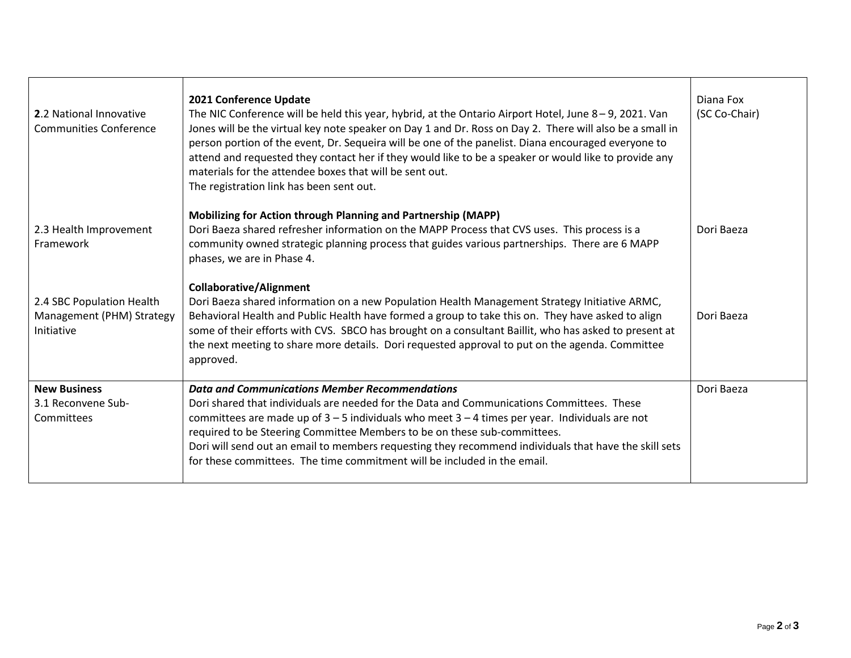| 2.2 National Innovative<br><b>Communities Conference</b>             | 2021 Conference Update<br>The NIC Conference will be held this year, hybrid, at the Ontario Airport Hotel, June 8 - 9, 2021. Van<br>Jones will be the virtual key note speaker on Day 1 and Dr. Ross on Day 2. There will also be a small in<br>person portion of the event, Dr. Sequeira will be one of the panelist. Diana encouraged everyone to<br>attend and requested they contact her if they would like to be a speaker or would like to provide any<br>materials for the attendee boxes that will be sent out.<br>The registration link has been sent out. | Diana Fox<br>(SC Co-Chair) |
|----------------------------------------------------------------------|---------------------------------------------------------------------------------------------------------------------------------------------------------------------------------------------------------------------------------------------------------------------------------------------------------------------------------------------------------------------------------------------------------------------------------------------------------------------------------------------------------------------------------------------------------------------|----------------------------|
|                                                                      | Mobilizing for Action through Planning and Partnership (MAPP)                                                                                                                                                                                                                                                                                                                                                                                                                                                                                                       |                            |
| 2.3 Health Improvement<br>Framework                                  | Dori Baeza shared refresher information on the MAPP Process that CVS uses. This process is a<br>community owned strategic planning process that guides various partnerships. There are 6 MAPP<br>phases, we are in Phase 4.                                                                                                                                                                                                                                                                                                                                         | Dori Baeza                 |
| 2.4 SBC Population Health<br>Management (PHM) Strategy<br>Initiative | <b>Collaborative/Alignment</b><br>Dori Baeza shared information on a new Population Health Management Strategy Initiative ARMC,<br>Behavioral Health and Public Health have formed a group to take this on. They have asked to align<br>some of their efforts with CVS. SBCO has brought on a consultant Baillit, who has asked to present at<br>the next meeting to share more details. Dori requested approval to put on the agenda. Committee<br>approved.                                                                                                       | Dori Baeza                 |
| <b>New Business</b><br>3.1 Reconvene Sub-<br>Committees              | <b>Data and Communications Member Recommendations</b><br>Dori shared that individuals are needed for the Data and Communications Committees. These<br>committees are made up of $3 - 5$ individuals who meet $3 - 4$ times per year. Individuals are not<br>required to be Steering Committee Members to be on these sub-committees.<br>Dori will send out an email to members requesting they recommend individuals that have the skill sets<br>for these committees. The time commitment will be included in the email.                                           | Dori Baeza                 |